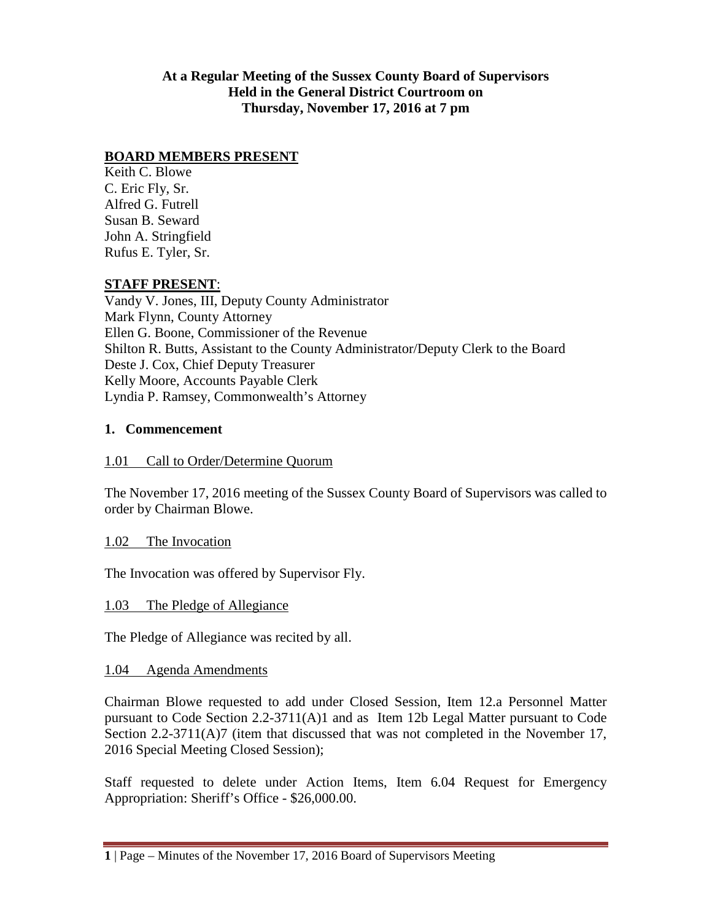### **At a Regular Meeting of the Sussex County Board of Supervisors Held in the General District Courtroom on Thursday, November 17, 2016 at 7 pm**

## **BOARD MEMBERS PRESENT**

Keith C. Blowe C. Eric Fly, Sr. Alfred G. Futrell Susan B. Seward John A. Stringfield Rufus E. Tyler, Sr.

#### **STAFF PRESENT**:

Vandy V. Jones, III, Deputy County Administrator Mark Flynn, County Attorney Ellen G. Boone, Commissioner of the Revenue Shilton R. Butts, Assistant to the County Administrator/Deputy Clerk to the Board Deste J. Cox, Chief Deputy Treasurer Kelly Moore, Accounts Payable Clerk Lyndia P. Ramsey, Commonwealth's Attorney

#### **1. Commencement**

#### 1.01 Call to Order/Determine Quorum

The November 17, 2016 meeting of the Sussex County Board of Supervisors was called to order by Chairman Blowe.

#### 1.02 The Invocation

The Invocation was offered by Supervisor Fly.

#### 1.03 The Pledge of Allegiance

The Pledge of Allegiance was recited by all.

#### 1.04 Agenda Amendments

Chairman Blowe requested to add under Closed Session, Item 12.a Personnel Matter pursuant to Code Section 2.2-3711(A)1 and as Item 12b Legal Matter pursuant to Code Section 2.2-3711(A)7 (item that discussed that was not completed in the November 17, 2016 Special Meeting Closed Session);

Staff requested to delete under Action Items, Item 6.04 Request for Emergency Appropriation: Sheriff's Office - \$26,000.00.

**<sup>1</sup>** | Page – Minutes of the November 17, 2016 Board of Supervisors Meeting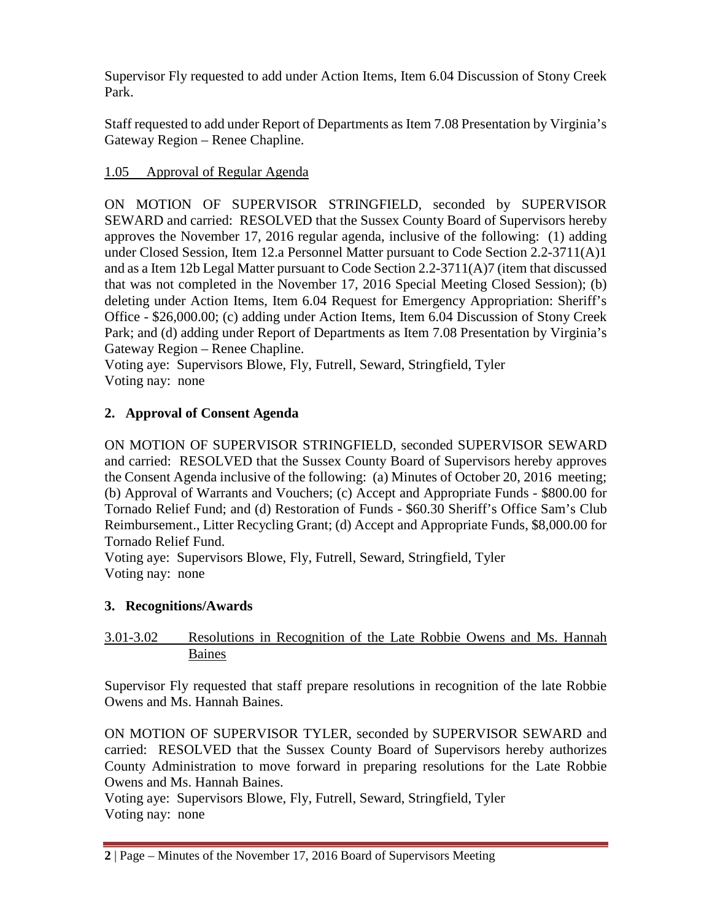Supervisor Fly requested to add under Action Items, Item 6.04 Discussion of Stony Creek Park.

Staff requested to add under Report of Departments as Item 7.08 Presentation by Virginia's Gateway Region – Renee Chapline.

# 1.05 Approval of Regular Agenda

ON MOTION OF SUPERVISOR STRINGFIELD, seconded by SUPERVISOR SEWARD and carried: RESOLVED that the Sussex County Board of Supervisors hereby approves the November 17, 2016 regular agenda, inclusive of the following: (1) adding under Closed Session, Item 12.a Personnel Matter pursuant to Code Section 2.2-3711(A)1 and as a Item 12b Legal Matter pursuant to Code Section 2.2-3711(A)7 (item that discussed that was not completed in the November 17, 2016 Special Meeting Closed Session); (b) deleting under Action Items, Item 6.04 Request for Emergency Appropriation: Sheriff's Office - \$26,000.00; (c) adding under Action Items, Item 6.04 Discussion of Stony Creek Park; and (d) adding under Report of Departments as Item 7.08 Presentation by Virginia's Gateway Region – Renee Chapline.

Voting aye: Supervisors Blowe, Fly, Futrell, Seward, Stringfield, Tyler Voting nay: none

# **2. Approval of Consent Agenda**

ON MOTION OF SUPERVISOR STRINGFIELD, seconded SUPERVISOR SEWARD and carried: RESOLVED that the Sussex County Board of Supervisors hereby approves the Consent Agenda inclusive of the following: (a) Minutes of October 20, 2016 meeting; (b) Approval of Warrants and Vouchers; (c) Accept and Appropriate Funds - \$800.00 for Tornado Relief Fund; and (d) Restoration of Funds - \$60.30 Sheriff's Office Sam's Club Reimbursement., Litter Recycling Grant; (d) Accept and Appropriate Funds, \$8,000.00 for Tornado Relief Fund.

Voting aye: Supervisors Blowe, Fly, Futrell, Seward, Stringfield, Tyler Voting nay: none

# **3. Recognitions/Awards**

# 3.01-3.02 Resolutions in Recognition of the Late Robbie Owens and Ms. Hannah Baines

Supervisor Fly requested that staff prepare resolutions in recognition of the late Robbie Owens and Ms. Hannah Baines.

ON MOTION OF SUPERVISOR TYLER, seconded by SUPERVISOR SEWARD and carried: RESOLVED that the Sussex County Board of Supervisors hereby authorizes County Administration to move forward in preparing resolutions for the Late Robbie Owens and Ms. Hannah Baines.

Voting aye: Supervisors Blowe, Fly, Futrell, Seward, Stringfield, Tyler Voting nay: none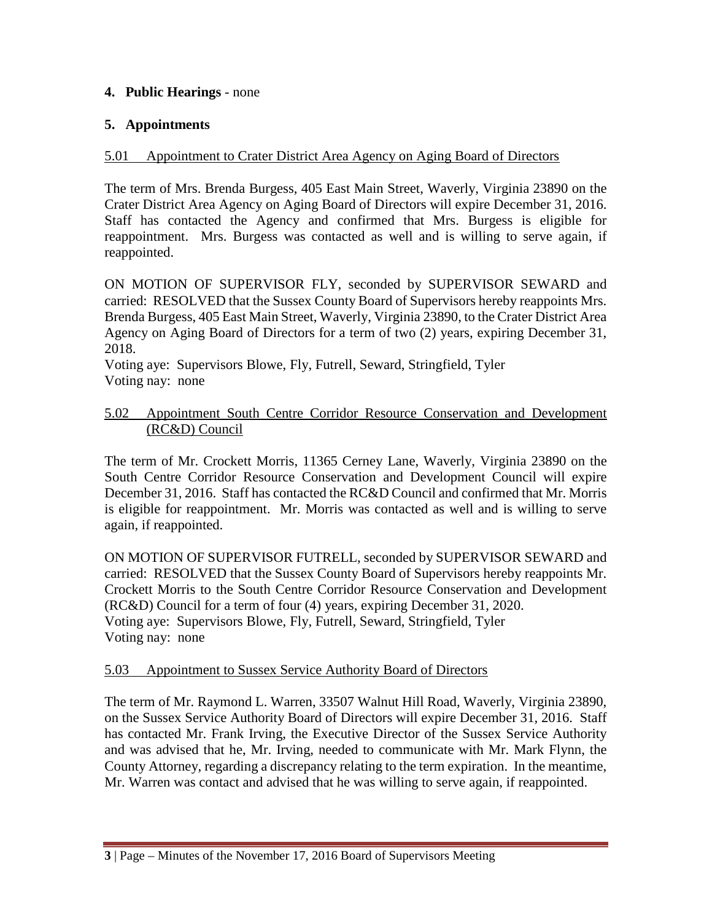## **4. Public Hearings** - none

### **5. Appointments**

### 5.01 Appointment to Crater District Area Agency on Aging Board of Directors

The term of Mrs. Brenda Burgess, 405 East Main Street, Waverly, Virginia 23890 on the Crater District Area Agency on Aging Board of Directors will expire December 31, 2016. Staff has contacted the Agency and confirmed that Mrs. Burgess is eligible for reappointment. Mrs. Burgess was contacted as well and is willing to serve again, if reappointed.

ON MOTION OF SUPERVISOR FLY, seconded by SUPERVISOR SEWARD and carried: RESOLVED that the Sussex County Board of Supervisors hereby reappoints Mrs. Brenda Burgess, 405 East Main Street, Waverly, Virginia 23890, to the Crater District Area Agency on Aging Board of Directors for a term of two (2) years, expiring December 31, 2018.

Voting aye: Supervisors Blowe, Fly, Futrell, Seward, Stringfield, Tyler Voting nay: none

### 5.02 Appointment South Centre Corridor Resource Conservation and Development (RC&D) Council

The term of Mr. Crockett Morris, 11365 Cerney Lane, Waverly, Virginia 23890 on the South Centre Corridor Resource Conservation and Development Council will expire December 31, 2016. Staff has contacted the RC&D Council and confirmed that Mr. Morris is eligible for reappointment. Mr. Morris was contacted as well and is willing to serve again, if reappointed.

ON MOTION OF SUPERVISOR FUTRELL, seconded by SUPERVISOR SEWARD and carried: RESOLVED that the Sussex County Board of Supervisors hereby reappoints Mr. Crockett Morris to the South Centre Corridor Resource Conservation and Development (RC&D) Council for a term of four (4) years, expiring December 31, 2020. Voting aye: Supervisors Blowe, Fly, Futrell, Seward, Stringfield, Tyler Voting nay: none

#### 5.03 Appointment to Sussex Service Authority Board of Directors

The term of Mr. Raymond L. Warren, 33507 Walnut Hill Road, Waverly, Virginia 23890, on the Sussex Service Authority Board of Directors will expire December 31, 2016. Staff has contacted Mr. Frank Irving, the Executive Director of the Sussex Service Authority and was advised that he, Mr. Irving, needed to communicate with Mr. Mark Flynn, the County Attorney, regarding a discrepancy relating to the term expiration. In the meantime, Mr. Warren was contact and advised that he was willing to serve again, if reappointed.

**<sup>3</sup>** | Page – Minutes of the November 17, 2016 Board of Supervisors Meeting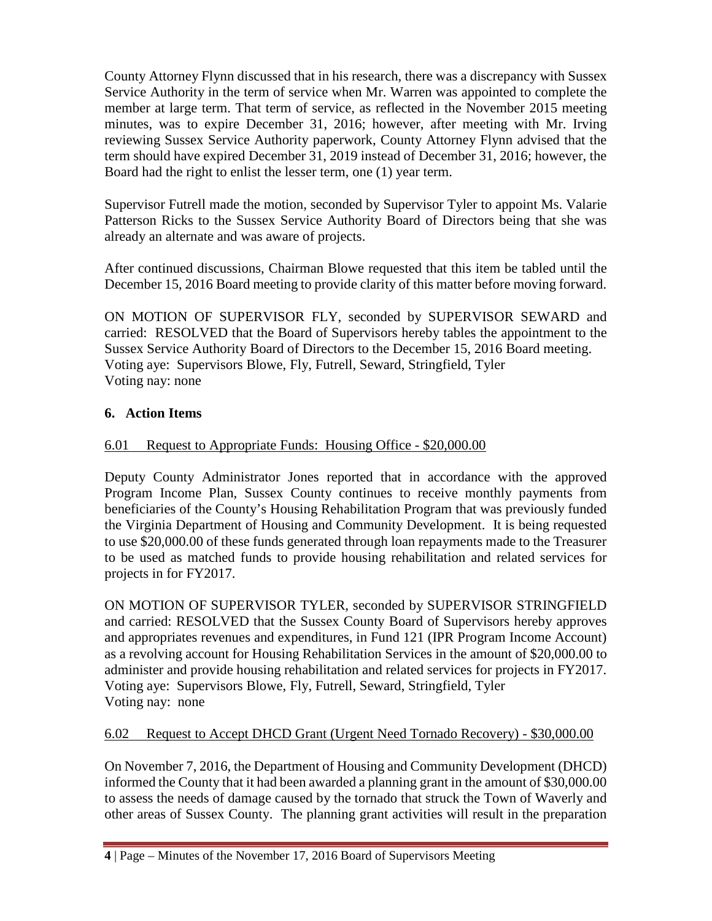County Attorney Flynn discussed that in his research, there was a discrepancy with Sussex Service Authority in the term of service when Mr. Warren was appointed to complete the member at large term. That term of service, as reflected in the November 2015 meeting minutes, was to expire December 31, 2016; however, after meeting with Mr. Irving reviewing Sussex Service Authority paperwork, County Attorney Flynn advised that the term should have expired December 31, 2019 instead of December 31, 2016; however, the Board had the right to enlist the lesser term, one (1) year term.

Supervisor Futrell made the motion, seconded by Supervisor Tyler to appoint Ms. Valarie Patterson Ricks to the Sussex Service Authority Board of Directors being that she was already an alternate and was aware of projects.

After continued discussions, Chairman Blowe requested that this item be tabled until the December 15, 2016 Board meeting to provide clarity of this matter before moving forward.

ON MOTION OF SUPERVISOR FLY, seconded by SUPERVISOR SEWARD and carried: RESOLVED that the Board of Supervisors hereby tables the appointment to the Sussex Service Authority Board of Directors to the December 15, 2016 Board meeting. Voting aye: Supervisors Blowe, Fly, Futrell, Seward, Stringfield, Tyler Voting nay: none

# **6. Action Items**

# 6.01 Request to Appropriate Funds: Housing Office - \$20,000.00

Deputy County Administrator Jones reported that in accordance with the approved Program Income Plan, Sussex County continues to receive monthly payments from beneficiaries of the County's Housing Rehabilitation Program that was previously funded the Virginia Department of Housing and Community Development. It is being requested to use \$20,000.00 of these funds generated through loan repayments made to the Treasurer to be used as matched funds to provide housing rehabilitation and related services for projects in for FY2017.

ON MOTION OF SUPERVISOR TYLER, seconded by SUPERVISOR STRINGFIELD and carried: RESOLVED that the Sussex County Board of Supervisors hereby approves and appropriates revenues and expenditures, in Fund 121 (IPR Program Income Account) as a revolving account for Housing Rehabilitation Services in the amount of \$20,000.00 to administer and provide housing rehabilitation and related services for projects in FY2017. Voting aye: Supervisors Blowe, Fly, Futrell, Seward, Stringfield, Tyler Voting nay: none

## 6.02 Request to Accept DHCD Grant (Urgent Need Tornado Recovery) - \$30,000.00

On November 7, 2016, the Department of Housing and Community Development (DHCD) informed the County that it had been awarded a planning grant in the amount of \$30,000.00 to assess the needs of damage caused by the tornado that struck the Town of Waverly and other areas of Sussex County. The planning grant activities will result in the preparation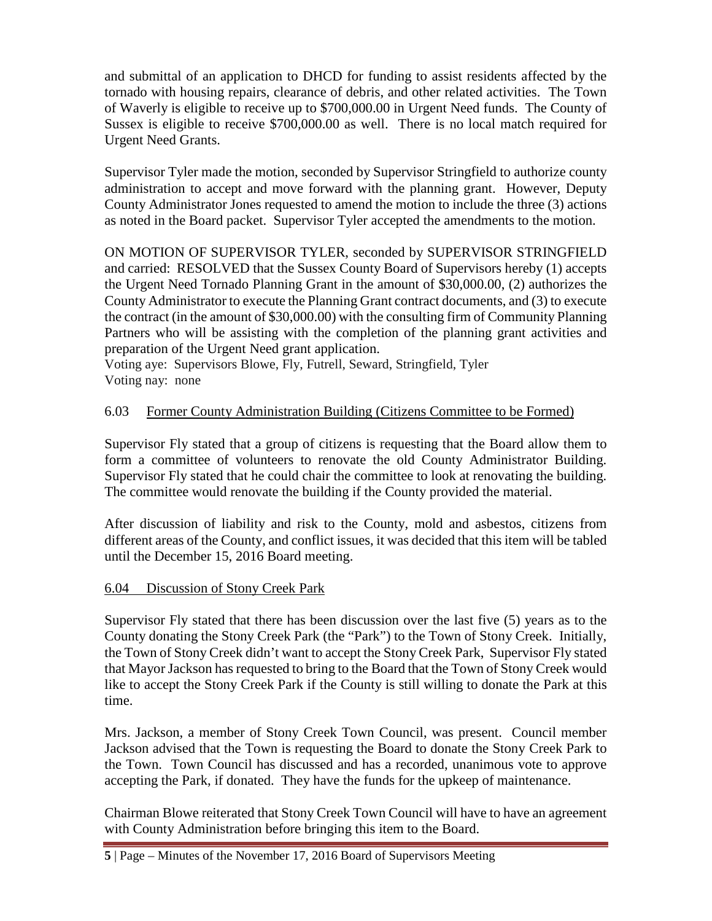and submittal of an application to DHCD for funding to assist residents affected by the tornado with housing repairs, clearance of debris, and other related activities. The Town of Waverly is eligible to receive up to \$700,000.00 in Urgent Need funds. The County of Sussex is eligible to receive \$700,000.00 as well. There is no local match required for Urgent Need Grants.

Supervisor Tyler made the motion, seconded by Supervisor Stringfield to authorize county administration to accept and move forward with the planning grant. However, Deputy County Administrator Jones requested to amend the motion to include the three (3) actions as noted in the Board packet. Supervisor Tyler accepted the amendments to the motion.

ON MOTION OF SUPERVISOR TYLER, seconded by SUPERVISOR STRINGFIELD and carried: RESOLVED that the Sussex County Board of Supervisors hereby (1) accepts the Urgent Need Tornado Planning Grant in the amount of \$30,000.00, (2) authorizes the County Administrator to execute the Planning Grant contract documents, and (3) to execute the contract (in the amount of \$30,000.00) with the consulting firm of Community Planning Partners who will be assisting with the completion of the planning grant activities and preparation of the Urgent Need grant application.

Voting aye: Supervisors Blowe, Fly, Futrell, Seward, Stringfield, Tyler Voting nay: none

# 6.03 Former County Administration Building (Citizens Committee to be Formed)

Supervisor Fly stated that a group of citizens is requesting that the Board allow them to form a committee of volunteers to renovate the old County Administrator Building. Supervisor Fly stated that he could chair the committee to look at renovating the building. The committee would renovate the building if the County provided the material.

After discussion of liability and risk to the County, mold and asbestos, citizens from different areas of the County, and conflict issues, it was decided that this item will be tabled until the December 15, 2016 Board meeting.

## 6.04 Discussion of Stony Creek Park

Supervisor Fly stated that there has been discussion over the last five (5) years as to the County donating the Stony Creek Park (the "Park") to the Town of Stony Creek. Initially, the Town of Stony Creek didn't want to accept the Stony Creek Park, Supervisor Fly stated that Mayor Jackson has requested to bring to the Board that the Town of Stony Creek would like to accept the Stony Creek Park if the County is still willing to donate the Park at this time.

Mrs. Jackson, a member of Stony Creek Town Council, was present. Council member Jackson advised that the Town is requesting the Board to donate the Stony Creek Park to the Town. Town Council has discussed and has a recorded, unanimous vote to approve accepting the Park, if donated. They have the funds for the upkeep of maintenance.

Chairman Blowe reiterated that Stony Creek Town Council will have to have an agreement with County Administration before bringing this item to the Board.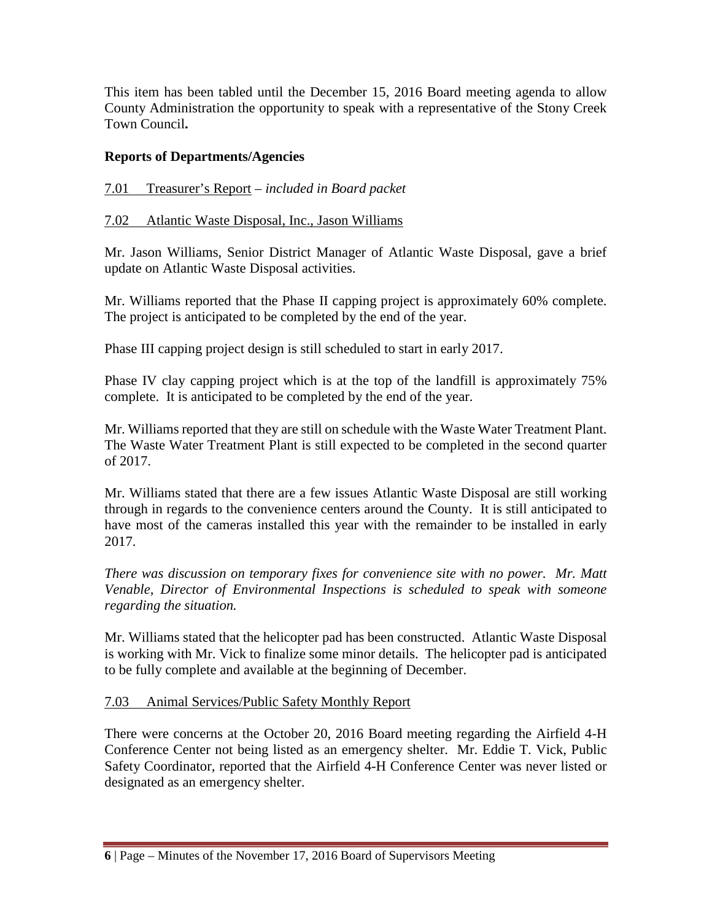This item has been tabled until the December 15, 2016 Board meeting agenda to allow County Administration the opportunity to speak with a representative of the Stony Creek Town Council**.**

# **Reports of Departments/Agencies**

## 7.01 Treasurer's Report – *included in Board packet*

## 7.02 Atlantic Waste Disposal, Inc., Jason Williams

Mr. Jason Williams, Senior District Manager of Atlantic Waste Disposal, gave a brief update on Atlantic Waste Disposal activities.

Mr. Williams reported that the Phase II capping project is approximately 60% complete. The project is anticipated to be completed by the end of the year.

Phase III capping project design is still scheduled to start in early 2017.

Phase IV clay capping project which is at the top of the landfill is approximately 75% complete. It is anticipated to be completed by the end of the year.

Mr. Williams reported that they are still on schedule with the Waste Water Treatment Plant. The Waste Water Treatment Plant is still expected to be completed in the second quarter of 2017.

Mr. Williams stated that there are a few issues Atlantic Waste Disposal are still working through in regards to the convenience centers around the County. It is still anticipated to have most of the cameras installed this year with the remainder to be installed in early 2017.

*There was discussion on temporary fixes for convenience site with no power. Mr. Matt Venable, Director of Environmental Inspections is scheduled to speak with someone regarding the situation.*

Mr. Williams stated that the helicopter pad has been constructed. Atlantic Waste Disposal is working with Mr. Vick to finalize some minor details. The helicopter pad is anticipated to be fully complete and available at the beginning of December.

#### 7.03 Animal Services/Public Safety Monthly Report

There were concerns at the October 20, 2016 Board meeting regarding the Airfield 4-H Conference Center not being listed as an emergency shelter. Mr. Eddie T. Vick, Public Safety Coordinator, reported that the Airfield 4-H Conference Center was never listed or designated as an emergency shelter.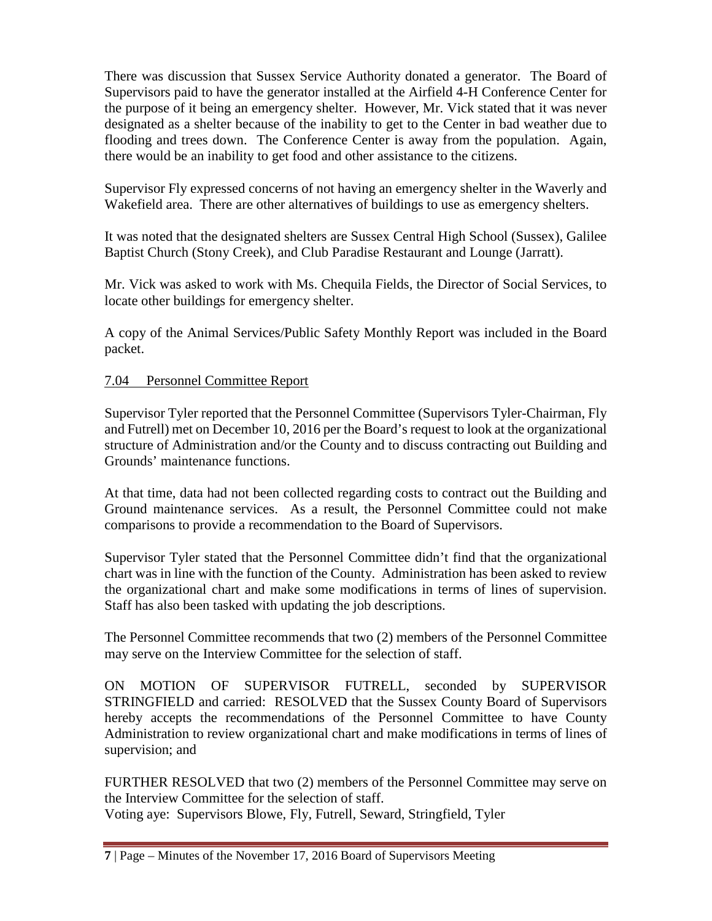There was discussion that Sussex Service Authority donated a generator. The Board of Supervisors paid to have the generator installed at the Airfield 4-H Conference Center for the purpose of it being an emergency shelter. However, Mr. Vick stated that it was never designated as a shelter because of the inability to get to the Center in bad weather due to flooding and trees down. The Conference Center is away from the population. Again, there would be an inability to get food and other assistance to the citizens.

Supervisor Fly expressed concerns of not having an emergency shelter in the Waverly and Wakefield area. There are other alternatives of buildings to use as emergency shelters.

It was noted that the designated shelters are Sussex Central High School (Sussex), Galilee Baptist Church (Stony Creek), and Club Paradise Restaurant and Lounge (Jarratt).

Mr. Vick was asked to work with Ms. Chequila Fields, the Director of Social Services, to locate other buildings for emergency shelter.

A copy of the Animal Services/Public Safety Monthly Report was included in the Board packet.

## 7.04 Personnel Committee Report

Supervisor Tyler reported that the Personnel Committee (Supervisors Tyler-Chairman, Fly and Futrell) met on December 10, 2016 per the Board's request to look at the organizational structure of Administration and/or the County and to discuss contracting out Building and Grounds' maintenance functions.

At that time, data had not been collected regarding costs to contract out the Building and Ground maintenance services. As a result, the Personnel Committee could not make comparisons to provide a recommendation to the Board of Supervisors.

Supervisor Tyler stated that the Personnel Committee didn't find that the organizational chart was in line with the function of the County. Administration has been asked to review the organizational chart and make some modifications in terms of lines of supervision. Staff has also been tasked with updating the job descriptions.

The Personnel Committee recommends that two (2) members of the Personnel Committee may serve on the Interview Committee for the selection of staff.

ON MOTION OF SUPERVISOR FUTRELL, seconded by SUPERVISOR STRINGFIELD and carried: RESOLVED that the Sussex County Board of Supervisors hereby accepts the recommendations of the Personnel Committee to have County Administration to review organizational chart and make modifications in terms of lines of supervision; and

FURTHER RESOLVED that two (2) members of the Personnel Committee may serve on the Interview Committee for the selection of staff.

Voting aye: Supervisors Blowe, Fly, Futrell, Seward, Stringfield, Tyler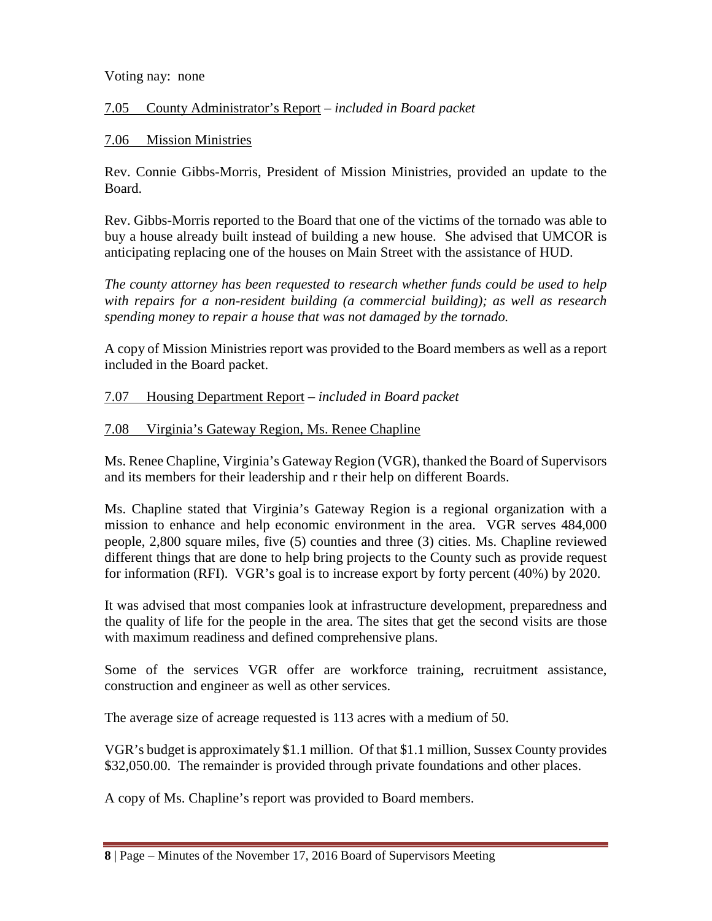#### Voting nay: none

## 7.05 County Administrator's Report *– included in Board packet*

## 7.06 Mission Ministries

Rev. Connie Gibbs-Morris, President of Mission Ministries, provided an update to the Board.

Rev. Gibbs-Morris reported to the Board that one of the victims of the tornado was able to buy a house already built instead of building a new house. She advised that UMCOR is anticipating replacing one of the houses on Main Street with the assistance of HUD.

*The county attorney has been requested to research whether funds could be used to help with repairs for a non-resident building (a commercial building); as well as research spending money to repair a house that was not damaged by the tornado.*

A copy of Mission Ministries report was provided to the Board members as well as a report included in the Board packet.

### 7.07 Housing Department Report – *included in Board packet*

### 7.08 Virginia's Gateway Region, Ms. Renee Chapline

Ms. Renee Chapline, Virginia's Gateway Region (VGR), thanked the Board of Supervisors and its members for their leadership and r their help on different Boards.

Ms. Chapline stated that Virginia's Gateway Region is a regional organization with a mission to enhance and help economic environment in the area. VGR serves 484,000 people, 2,800 square miles, five (5) counties and three (3) cities. Ms. Chapline reviewed different things that are done to help bring projects to the County such as provide request for information (RFI). VGR's goal is to increase export by forty percent (40%) by 2020.

It was advised that most companies look at infrastructure development, preparedness and the quality of life for the people in the area. The sites that get the second visits are those with maximum readiness and defined comprehensive plans.

Some of the services VGR offer are workforce training, recruitment assistance, construction and engineer as well as other services.

The average size of acreage requested is 113 acres with a medium of 50.

VGR's budget is approximately \$1.1 million. Of that \$1.1 million, Sussex County provides \$32,050.00. The remainder is provided through private foundations and other places.

A copy of Ms. Chapline's report was provided to Board members.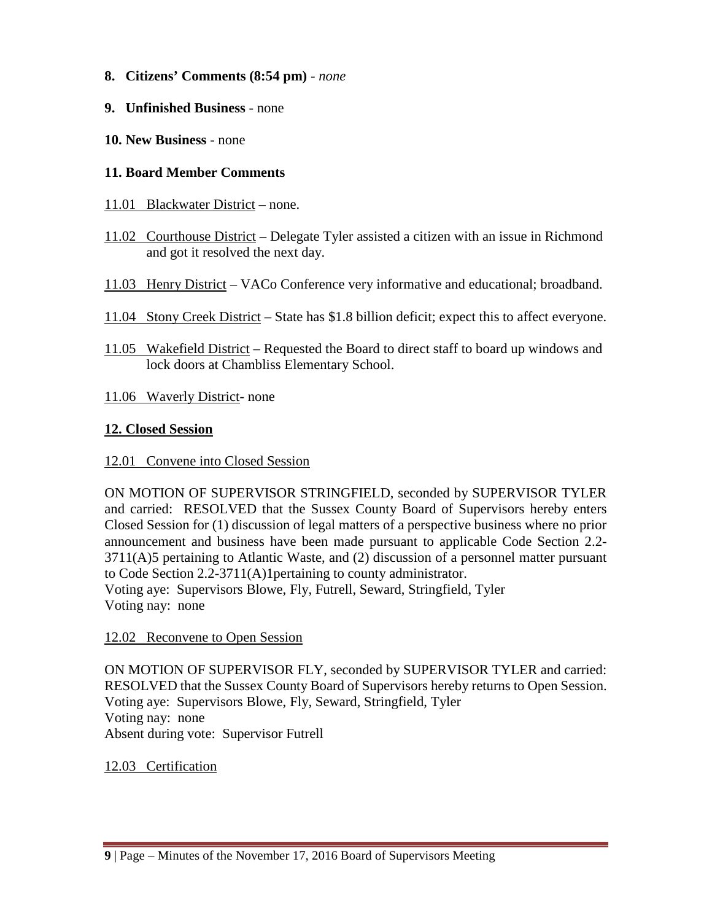- **8. Citizens' Comments (8:54 pm)** *none*
- **9. Unfinished Business** none
- **10. New Business** none

### **11. Board Member Comments**

- 11.01 Blackwater District none.
- 11.02 Courthouse District Delegate Tyler assisted a citizen with an issue in Richmond and got it resolved the next day.
- 11.03 Henry District VACo Conference very informative and educational; broadband.
- 11.04 Stony Creek District State has \$1.8 billion deficit; expect this to affect everyone.
- 11.05 Wakefield District Requested the Board to direct staff to board up windows and lock doors at Chambliss Elementary School.
- 11.06 Waverly District- none

### **12. Closed Session**

#### 12.01 Convene into Closed Session

ON MOTION OF SUPERVISOR STRINGFIELD, seconded by SUPERVISOR TYLER and carried: RESOLVED that the Sussex County Board of Supervisors hereby enters Closed Session for (1) discussion of legal matters of a perspective business where no prior announcement and business have been made pursuant to applicable Code Section 2.2- 3711(A)5 pertaining to Atlantic Waste, and (2) discussion of a personnel matter pursuant to Code Section 2.2-3711(A)1pertaining to county administrator. Voting aye: Supervisors Blowe, Fly, Futrell, Seward, Stringfield, Tyler Voting nay: none

#### 12.02 Reconvene to Open Session

ON MOTION OF SUPERVISOR FLY, seconded by SUPERVISOR TYLER and carried: RESOLVED that the Sussex County Board of Supervisors hereby returns to Open Session. Voting aye: Supervisors Blowe, Fly, Seward, Stringfield, Tyler Voting nay: none Absent during vote: Supervisor Futrell

#### 12.03 Certification